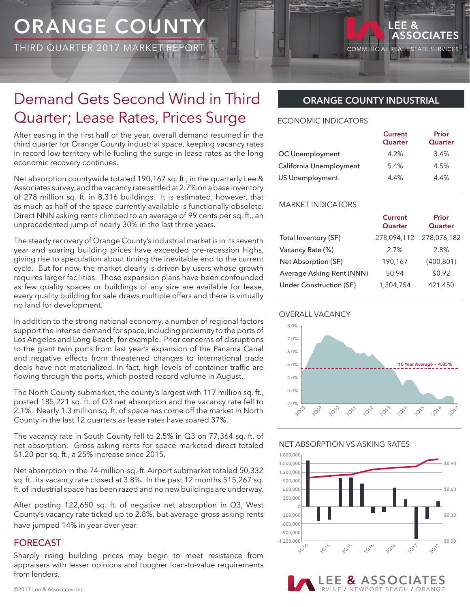# **ORANGE COUNT**

THIRD QUARTER 2017 MARKET

# Demand Gets Second Wind in Third Quarter; Lease Rates, Prices Surge

After easing in the first half of the year, overall demand resumed in the third quarter for Orange County industrial space, keeping vacancy rates in record low territory while fueling the surge in lease rates as the long economic recovery continues.

Net absorption countywide totaled 190,167 sq. ft., in the quarterly Lee & Associates survey, and the vacancy rate settled at 2.7% on a base inventory of 278 million sq. ft. in 8,316 buildings. It is estimated, however, that as much as half of the space currently available is functionally obsolete. Direct NNN asking rents climbed to an average of 99 cents per sq. ft., an unprecedented jump of nearly 30% in the last three years.

The steady recovery of Orange County's industrial market is in its seventh year and soaring building prices have exceeded pre-recession highs, giving rise to speculation about timing the inevitable end to the current cycle. But for now, the market clearly is driven by users whose growth requires larger facilities. Those expansion plans have been confounded as few quality spaces or buildings of any size are available for lease, every quality building for sale draws multiple offers and there is virtually no land for development.

In addition to the strong national economy, a number of regional factors support the intense demand for space, including proximity to the ports of Los Angeles and Long Beach, for example. Prior concerns of disruptions to the giant twin ports from last year's expansion of the Panama Canal and negative effects from threatened changes to international trade deals have not materialized. In fact, high levels of container traffic are flowing through the ports, which posted record volume in August.

The North County submarket, the county's largest with 117 million sq. ft., posted 185,221 sq. ft. of Q3 net absorption and the vacancy rate fell to 2.1%. Nearly 1.3 million sq. ft. of space has come off the market in North County in the last 12 quarters as lease rates have soared 37%.

The vacancy rate in South County fell to 2.5% in Q3 on 77,364 sq. ft. of net absorption. Gross asking rents for space marketed direct totaled \$1.20 per sq. ft., a 25% increase since 2015.

Net absorption in the 74-million-sq.-ft. Airport submarket totaled 50,332 sq. ft., its vacancy rate closed at 3.8%. In the past 12 months 515,267 sq. ft. of industrial space has been razed and no new buildings are underway.

After posting 122,650 sq. ft. of negative net absorption in Q3, West County's vacancy rate ticked up to 2.8%, but average gross asking rents have jumped 14% in year over year.

### FORECAST

Sharply rising building prices may begin to meet resistance from appraisers with lesser opinions and tougher loan-to-value requirements from lenders.

# **ORANGE COUNTY INDUSTRIAL**

**COMMERCIAL** 

LEE<sub>&</sub>

ASSOCIATES

**REAL ESTATE SERVICES** 

#### ECONOMIC INDICATORS

|                         | <b>Current</b><br>Quarter | Prior<br>Quarter |
|-------------------------|---------------------------|------------------|
| OC Unemployment         | 4.2%                      | 3.4%             |
| California Unemployment | 5.4%                      | 4.5%             |
| <b>US Unemployment</b>  | 4.4%                      | 4.4%             |

#### MARKET INDICATORS

|                           | <b>Current</b><br>Quarter | Prior<br>Quarter |
|---------------------------|---------------------------|------------------|
| Total Inventory (SF)      | 278,094,112               | 278,076,182      |
| Vacancy Rate (%)          | 2.7%                      | 2.8%             |
| Net Absorption (SF)       | 190.167                   | (400, 801)       |
| Average Asking Rent (NNN) | \$0.94                    | \$0.92           |
| Under Construction (SF)   | 1,304,754                 | 421,450          |





### NET ABSORPTION VS ASKING RATES



**LE & ASSOCIAT** VINE / NEWPORT BEACH / ORANGE